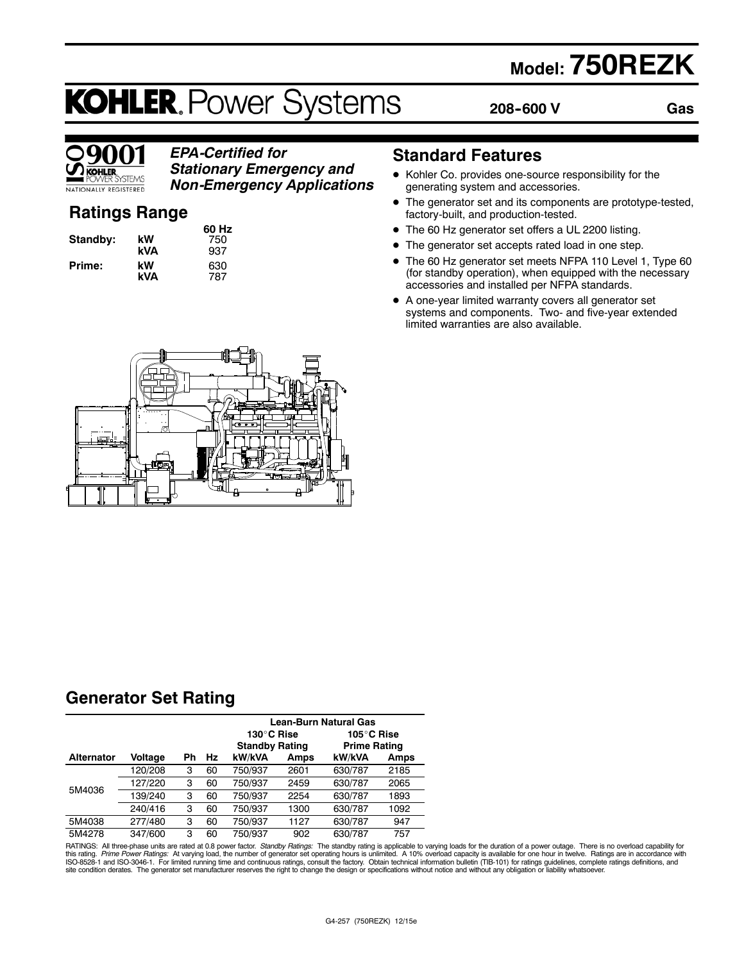# **Model: 750REZK**

# **KOHLER. Power Systems**

**60 Hz Standby: kW** 750 **kVA** 937

**kVA** 787

**208--600 V**

**Gas**



# *EPA-Certified for Stationary Emergency and*

*Non-Emergency Applications*

# **Ratings Range**

|          |     | 60 H |
|----------|-----|------|
| Standby: | kW  | 750  |
|          | kVA | 937  |
| Prime:   | kW  | 630  |
|          | kVΔ | 787  |

**Standard Features**

- $\bullet$  Kohler Co. provides one-source responsibility for the generating system and accessories.
- The generator set and its components are prototype-tested, factory-built, and production-tested.
- The 60 Hz generator set offers a UL 2200 listing.
- The generator set accepts rated load in one step.
- The 60 Hz generator set meets NFPA 110 Level 1, Type 60 (for standby operation), when equipped with the necessary accessories and installed per NFPA standards.
- $\bullet$  A one-year limited warranty covers all generator set systems and components. Two- and five-year extended limited warranties are also available.



# **Generator Set Rating**

|                   |         |    |    | Lean-Burn Natural Gas |      |                       |      |
|-------------------|---------|----|----|-----------------------|------|-----------------------|------|
|                   |         |    |    | 130°C Rise            |      | 105 $^{\circ}$ C Rise |      |
|                   |         |    |    | <b>Standby Rating</b> |      | <b>Prime Rating</b>   |      |
| <b>Alternator</b> | Voltage | Ph | Hz | kW/kVA                | Amps | kW/kVA                | Amps |
|                   | 120/208 | 3  | 60 | 750/937               | 2601 | 630/787               | 2185 |
|                   | 127/220 | 3  | 60 | 750/937               | 2459 | 630/787               | 2065 |
| 5M4036            | 139/240 | 3  | 60 | 750/937               | 2254 | 630/787               | 1893 |
|                   | 240/416 | 3  | 60 | 750/937               | 1300 | 630/787               | 1092 |
| 5M4038            | 277/480 | 3  | 60 | 750/937               | 1127 | 630/787               | 947  |
| 5M4278            | 347/600 | 3  | 60 | 750/937               | 902  | 630/787               | 757  |

RATINGS: All three-phase units are rated at 0.8 power factor. *Standby Ratings*: The standby rating is applicable to varying loads for the duration of a power outage. There is no overload capability for for the duration of site condition derates. The generator set manufacturer reserves the right to change the design or specifications without notice and without any obligation or liability whatsoever.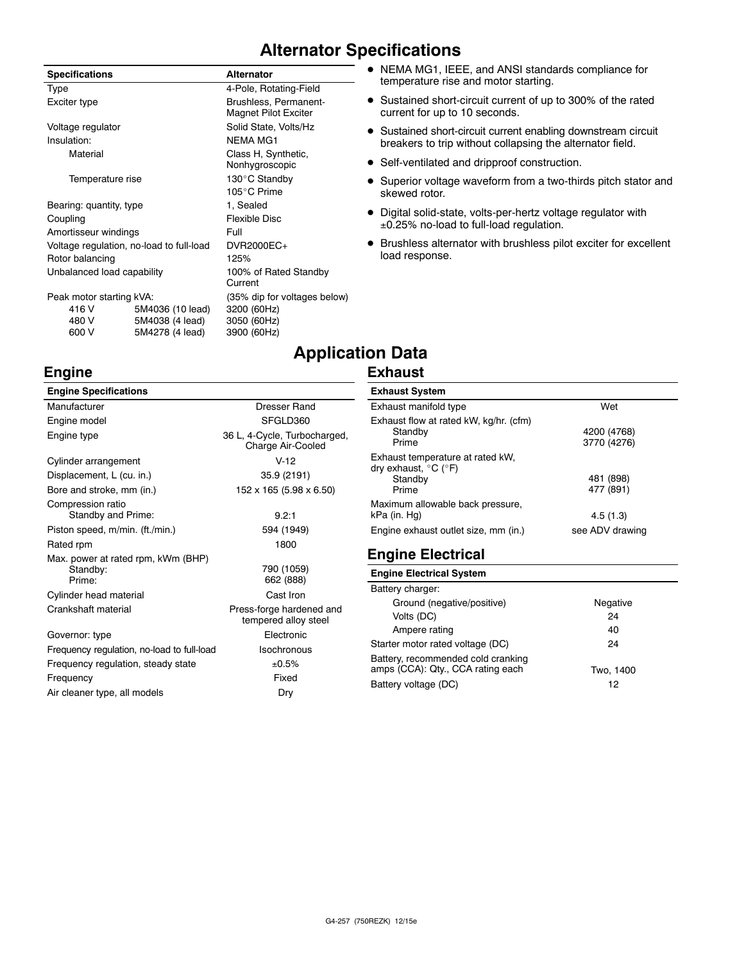# **Alternator Specifications**

| <b>Specifications</b>                               |                                                        | <b>Alternator</b>                                                         |
|-----------------------------------------------------|--------------------------------------------------------|---------------------------------------------------------------------------|
| Type                                                |                                                        | 4-Pole, Rotating-Field                                                    |
| Exciter type                                        |                                                        | Brushless, Permanent-<br><b>Magnet Pilot Exciter</b>                      |
| Voltage regulator                                   |                                                        | Solid State, Volts/Hz                                                     |
| Insulation:                                         |                                                        | <b>NEMA MG1</b>                                                           |
| Material                                            |                                                        | Class H, Synthetic,<br>Nonhygroscopic                                     |
| Temperature rise                                    |                                                        | 130°C Standby                                                             |
|                                                     |                                                        | 105°C Prime                                                               |
| Bearing: quantity, type                             |                                                        | 1, Sealed                                                                 |
| Coupling                                            |                                                        | <b>Flexible Disc</b>                                                      |
| Amortisseur windings                                |                                                        | Full                                                                      |
| Voltage regulation, no-load to full-load            |                                                        | DVR2000EC+                                                                |
| Rotor balancing                                     |                                                        | 125%                                                                      |
| Unbalanced load capability                          |                                                        | 100% of Rated Standby<br>Current                                          |
| Peak motor starting kVA:<br>416 V<br>480 V<br>600 V | 5M4036 (10 lead)<br>5M4038 (4 lead)<br>5M4278 (4 lead) | (35% dip for voltages below)<br>3200 (60Hz)<br>3050 (60Hz)<br>3900 (60Hz) |

**Engine**

#### • NEMA MG1, IEEE, and ANSI standards compliance for temperature rise and motor starting.

- Sustained short-circuit current of up to 300% of the rated current for up to 10 seconds.
- Sustained short-circuit current enabling downstream circuit breakers to trip without collapsing the alternator field.
- Self-ventilated and dripproof construction.
- Superior voltage waveform from a two-thirds pitch stator and skewed rotor.
- $\bullet$  Digital solid-state, volts-per-hertz voltage regulator with 0.25% no-load to full-load regulation.
- $\bullet$  Brushless alternator with brushless pilot exciter for excellent load response.

# **Application Data**

# **Exhaust**

| <b>Engine Specifications</b>                             |                                                   |
|----------------------------------------------------------|---------------------------------------------------|
| Manufacturer                                             | Dresser Rand                                      |
| Engine model                                             | SFGLD360                                          |
| Engine type                                              | 36 L, 4-Cycle, Turbocharged,<br>Charge Air-Cooled |
| Cylinder arrangement                                     | $V-12$                                            |
| Displacement, L (cu. in.)                                | 35.9 (2191)                                       |
| Bore and stroke, mm (in.)                                | 152 x 165 (5.98 x 6.50)                           |
| Compression ratio<br>Standby and Prime:                  | 9.2:1                                             |
| Piston speed, m/min. (ft./min.)                          | 594 (1949)                                        |
| Rated rpm                                                | 1800                                              |
| Max. power at rated rpm, kWm (BHP)<br>Standby:<br>Prime: | 790 (1059)<br>662 (888)                           |
| Cylinder head material                                   | Cast Iron                                         |
| Crankshaft material                                      | Press-forge hardened and<br>tempered alloy steel  |
| Governor: type                                           | Electronic                                        |
| Frequency regulation, no-load to full-load               | Isochronous                                       |
| Frequency regulation, steady state                       | ±0.5%                                             |
| Frequency                                                | Fixed                                             |
| Air cleaner type, all models                             | Dry                                               |

#### **Exhaust System**

| <b>EVIRAGE AVALAIT</b>                                                                   |                            |
|------------------------------------------------------------------------------------------|----------------------------|
| Exhaust manifold type                                                                    | Wet                        |
| Exhaust flow at rated kW, kg/hr. (cfm)<br>Standby<br>Prime                               | 4200 (4768)<br>3770 (4276) |
| Exhaust temperature at rated kW,<br>dry exhaust, $^{\circ}$ C ( $^{\circ}$ F)<br>Standby | 481 (898)                  |
| Prime                                                                                    | 477 (891)                  |
| Maximum allowable back pressure,<br>kPa (in. Hg)                                         | 4.5(1.3)                   |
| Engine exhaust outlet size, mm (in.)                                                     | see ADV drawing            |

# **Engine Electrical**

#### **Engine Electrical System**

| Battery charger:                                                        |           |
|-------------------------------------------------------------------------|-----------|
| Ground (negative/positive)                                              | Negative  |
| Volts (DC)                                                              | 24        |
| Ampere rating                                                           | 40        |
| Starter motor rated voltage (DC)                                        | 24        |
| Battery, recommended cold cranking<br>amps (CCA): Qty., CCA rating each | Two, 1400 |
| Battery voltage (DC)                                                    | 12        |
|                                                                         |           |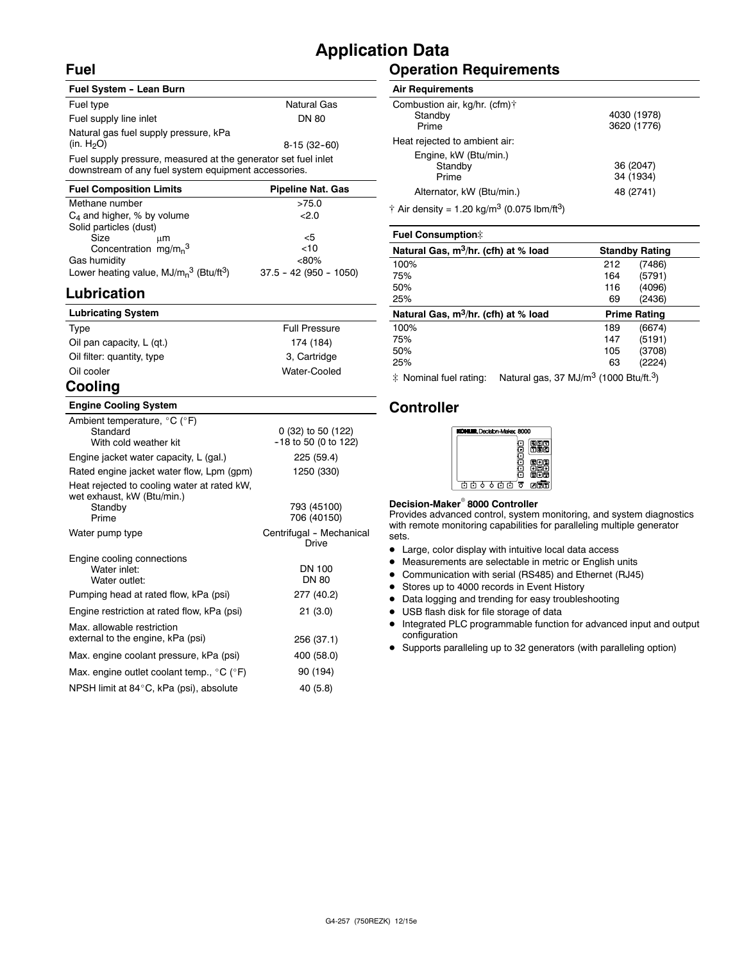### **Fuel**

# **Application Data**

#### **Fuel System - Lean Burn** Fuel type Natural Gas Fuel supply line inlet DN 80 Natural gas fuel supply pressure, kPa<br>(in. H<sub>2</sub>O) 8-15 (32-60) Fuel supply pressure, measured at the generator set fuel inlet downstream of any fuel system equipment accessories.

| <b>Pipeline Nat. Gas</b> |
|--------------------------|
| >75.0                    |
| 22.0                     |
|                          |
| <5                       |
| <10                      |
| $<80\%$                  |
| $37.5 - 42 (950 - 1050)$ |
|                          |

# **Lubrication**

| <b>Lubricating System</b>                  |                      |
|--------------------------------------------|----------------------|
| Type                                       | <b>Full Pressure</b> |
| Oil pan capacity, L (qt.)                  | 174 (184)            |
| Oil filter: quantity, type                 | 3, Cartridge         |
| Oil cooler                                 | Water-Cooled         |
| $\mathbf{A}$ - $\mathbf{B}$ - $\mathbf{A}$ |                      |

# **Cooling**

#### **Engine Cooling System**

| Ambient temperature, $^{\circ}$ C ( $^{\circ}$ F)<br>Standard<br>With cold weather kit        | 0 (32) to 50 (122)<br>$-18$ to 50 (0 to 122) |
|-----------------------------------------------------------------------------------------------|----------------------------------------------|
| Engine jacket water capacity, L (gal.)                                                        | 225 (59.4)                                   |
| Rated engine jacket water flow, Lpm (gpm)                                                     | 1250 (330)                                   |
| Heat rejected to cooling water at rated kW,<br>wet exhaust, kW (Btu/min.)<br>Standby<br>Prime | 793 (45100)<br>706 (40150)                   |
| Water pump type                                                                               | Centrifugal - Mechanical<br>Drive            |
| Engine cooling connections<br>Water inlet:<br>Water outlet:                                   | DN 100<br><b>DN 80</b>                       |
| Pumping head at rated flow, kPa (psi)                                                         | 277 (40.2)                                   |
| Engine restriction at rated flow, kPa (psi)                                                   | 21(3.0)                                      |
| Max, allowable restriction<br>external to the engine, kPa (psi)                               | 256 (37.1)                                   |
| Max. engine coolant pressure, kPa (psi)                                                       | 400 (58.0)                                   |
| Max. engine outlet coolant temp., $^{\circ}$ C ( $^{\circ}$ F)                                | 90 (194)                                     |
| NPSH limit at 84°C, kPa (psi), absolute                                                       | 40 (5.8)                                     |

# **Operation Requirements**

#### **Air Requirements**

| Combustion air, kg/hr. (cfm)†<br>Standby<br>Prime | 4030 (1978)<br>3620 (1776) |
|---------------------------------------------------|----------------------------|
| Heat rejected to ambient air:                     |                            |
| Engine, kW (Btu/min.)<br>Standby<br>Prime         | 36 (2047)<br>34 (1934)     |
| Alternator, kW (Btu/min.)                         | 48 (2741)                  |
|                                                   |                            |

 $\dagger$  Air density = 1.20 kg/m<sup>3</sup> (0.075 lbm/ft<sup>3</sup>)

| <b>Fuel Consumption:</b>                         |                       |  |
|--------------------------------------------------|-----------------------|--|
| Natural Gas, m <sup>3</sup> /hr. (cfh) at % load | <b>Standby Rating</b> |  |
| 100%                                             | (7486)<br>212         |  |
| 75%                                              | (5791)<br>164         |  |
| 50%                                              | (4096)<br>116         |  |
| 25%                                              | (2436)<br>69          |  |
|                                                  |                       |  |
| Natural Gas, m <sup>3</sup> /hr. (cfh) at % load | <b>Prime Rating</b>   |  |
| 100%                                             | (6674)<br>189         |  |
| 75%                                              | (5191)<br>147         |  |
| 50%                                              | (3708)<br>105         |  |
| 25%                                              | (2224)<br>63          |  |

 $\ddot{\text{*}}$  Nominal fuel rating: Natural gas, 37 MJ/m<sup>3</sup> (1000 Btu/ft.<sup>3</sup>)

#### **Controller**



#### **Decision-Maker<sup>®</sup> 8000 Controller**

Provides advanced control, system monitoring, and system diagnostics with remote monitoring capabilities for paralleling multiple generator sets.

- Large, color display with intuitive local data access
- $\bullet$  Measurements are selectable in metric or English units
- Communication with serial (RS485) and Ethernet (RJ45)
- Stores up to 4000 records in Event History
- Data logging and trending for easy troubleshooting
- USB flash disk for file storage of data
- $\bullet$  Integrated PLC programmable function for advanced input and output configuration
- D Supports paralleling up to 32 generators (with paralleling option)